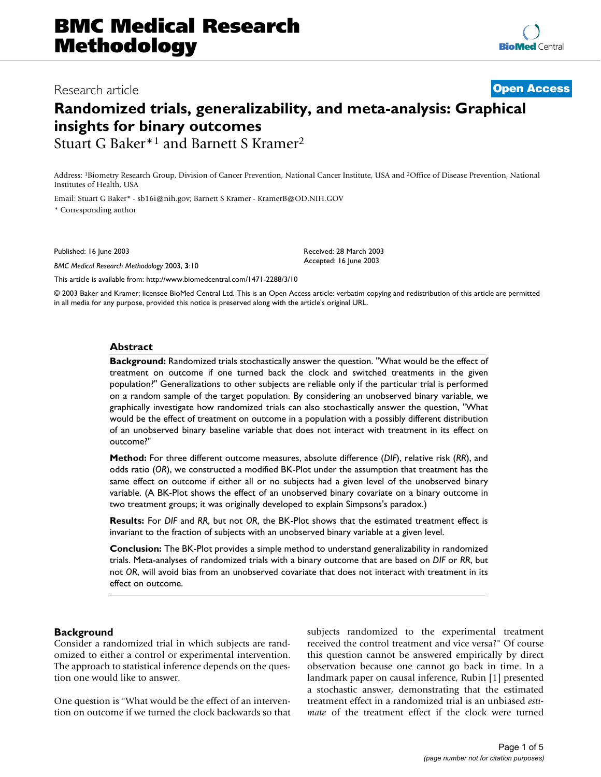# Research article **[Open Access](http://www.biomedcentral.com/info/about/charter/)**

# **Randomized trials, generalizability, and meta-analysis: Graphical insights for binary outcomes** Stuart G Baker\*1 and Barnett S Kramer2

Address: 1Biometry Research Group, Division of Cancer Prevention, National Cancer Institute, USA and 2Office of Disease Prevention, National Institutes of Health, USA

Email: Stuart G Baker\* - sb16i@nih.gov; Barnett S Kramer - KramerB@OD.NIH.GOV \* Corresponding author

Published: 16 June 2003

*BMC Medical Research Methodology* 2003, **3**:10

Received: 28 March 2003 Accepted: 16 June 2003

[This article is available from: http://www.biomedcentral.com/1471-2288/3/10](http://www.biomedcentral.com/1471-2288/3/10)

© 2003 Baker and Kramer; licensee BioMed Central Ltd. This is an Open Access article: verbatim copying and redistribution of this article are permitted in all media for any purpose, provided this notice is preserved along with the article's original URL.

#### **Abstract**

**Background:** Randomized trials stochastically answer the question. "What would be the effect of treatment on outcome if one turned back the clock and switched treatments in the given population?" Generalizations to other subjects are reliable only if the particular trial is performed on a random sample of the target population. By considering an unobserved binary variable, we graphically investigate how randomized trials can also stochastically answer the question, "What would be the effect of treatment on outcome in a population with a possibly different distribution of an unobserved binary baseline variable that does not interact with treatment in its effect on outcome?"

**Method:** For three different outcome measures, absolute difference (*DIF*), relative risk (*RR*), and odds ratio (*OR*), we constructed a modified BK-Plot under the assumption that treatment has the same effect on outcome if either all or no subjects had a given level of the unobserved binary variable. (A BK-Plot shows the effect of an unobserved binary covariate on a binary outcome in two treatment groups; it was originally developed to explain Simpsons's paradox.)

**Results:** For *DIF* and *RR*, but not *OR*, the BK-Plot shows that the estimated treatment effect is invariant to the fraction of subjects with an unobserved binary variable at a given level.

**Conclusion:** The BK-Plot provides a simple method to understand generalizability in randomized trials. Meta-analyses of randomized trials with a binary outcome that are based on *DIF* or *RR*, but not *OR*, will avoid bias from an unobserved covariate that does not interact with treatment in its effect on outcome.

#### **Background**

Consider a randomized trial in which subjects are randomized to either a control or experimental intervention. The approach to statistical inference depends on the question one would like to answer.

One question is "What would be the effect of an intervention on outcome if we turned the clock backwards so that subjects randomized to the experimental treatment received the control treatment and vice versa?" Of course this question cannot be answered empirically by direct observation because one cannot go back in time. In a landmark paper on causal inference, Rubin [1] presented a stochastic answer, demonstrating that the estimated treatment effect in a randomized trial is an unbiased *estimate* of the treatment effect if the clock were turned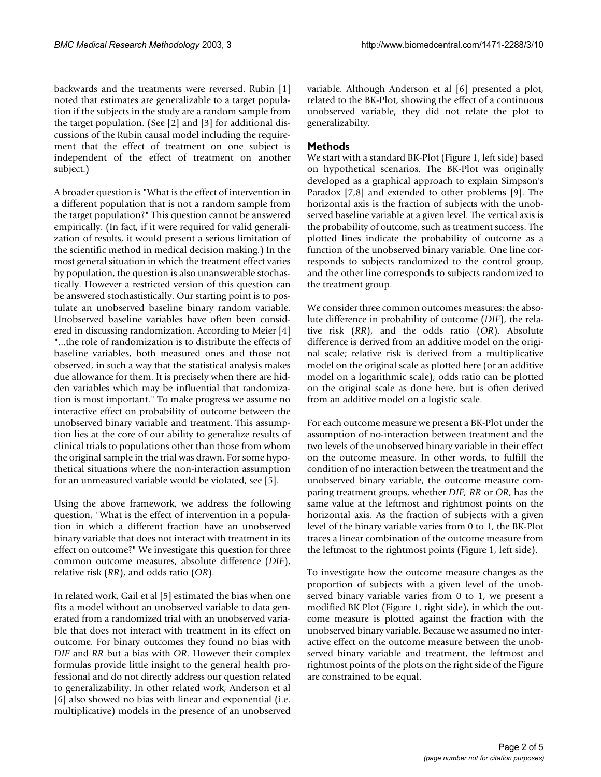backwards and the treatments were reversed. Rubin [1] noted that estimates are generalizable to a target population if the subjects in the study are a random sample from the target population. (See [2] and [3] for additional discussions of the Rubin causal model including the requirement that the effect of treatment on one subject is independent of the effect of treatment on another subject.)

A broader question is "What is the effect of intervention in a different population that is not a random sample from the target population?" This question cannot be answered empirically. (In fact, if it were required for valid generalization of results, it would present a serious limitation of the scientific method in medical decision making.) In the most general situation in which the treatment effect varies by population, the question is also unanswerable stochastically. However a restricted version of this question can be answered stochastistically. Our starting point is to postulate an unobserved baseline binary random variable. Unobserved baseline variables have often been considered in discussing randomization. According to Meier [4] "...the role of randomization is to distribute the effects of baseline variables, both measured ones and those not observed, in such a way that the statistical analysis makes due allowance for them. It is precisely when there are hidden variables which may be influential that randomization is most important." To make progress we assume no interactive effect on probability of outcome between the unobserved binary variable and treatment. This assumption lies at the core of our ability to generalize results of clinical trials to populations other than those from whom the original sample in the trial was drawn. For some hypothetical situations where the non-interaction assumption for an unmeasured variable would be violated, see [5].

Using the above framework, we address the following question, "What is the effect of intervention in a population in which a different fraction have an unobserved binary variable that does not interact with treatment in its effect on outcome?" We investigate this question for three common outcome measures, absolute difference (*DIF*), relative risk (*RR*), and odds ratio (*OR*).

In related work, Gail et al [5] estimated the bias when one fits a model without an unobserved variable to data generated from a randomized trial with an unobserved variable that does not interact with treatment in its effect on outcome. For binary outcomes they found no bias with *DIF* and *RR* but a bias with *OR*. However their complex formulas provide little insight to the general health professional and do not directly address our question related to generalizability. In other related work, Anderson et al [6] also showed no bias with linear and exponential (i.e. multiplicative) models in the presence of an unobserved variable. Although Anderson et al [6] presented a plot, related to the BK-Plot, showing the effect of a continuous unobserved variable, they did not relate the plot to generalizabilty.

## **Methods**

We start with a standard BK-Plot (Figure [1,](#page-2-0) left side) based on hypothetical scenarios. The BK-Plot was originally developed as a graphical approach to explain Simpson's Paradox [7,8] and extended to other problems [9]. The horizontal axis is the fraction of subjects with the unobserved baseline variable at a given level. The vertical axis is the probability of outcome, such as treatment success. The plotted lines indicate the probability of outcome as a function of the unobserved binary variable. One line corresponds to subjects randomized to the control group, and the other line corresponds to subjects randomized to the treatment group.

We consider three common outcomes measures: the absolute difference in probability of outcome (*DIF*), the relative risk (*RR*), and the odds ratio (*OR*). Absolute difference is derived from an additive model on the original scale; relative risk is derived from a multiplicative model on the original scale as plotted here (or an additive model on a logarithmic scale); odds ratio can be plotted on the original scale as done here, but is often derived from an additive model on a logistic scale.

For each outcome measure we present a BK-Plot under the assumption of no-interaction between treatment and the two levels of the unobserved binary variable in their effect on the outcome measure. In other words, to fulfill the condition of no interaction between the treatment and the unobserved binary variable, the outcome measure comparing treatment groups, whether *DIF, RR* or *OR*, has the same value at the leftmost and rightmost points on the horizontal axis. As the fraction of subjects with a given level of the binary variable varies from 0 to 1, the BK-Plot traces a linear combination of the outcome measure from the leftmost to the rightmost points (Figure [1,](#page-2-0) left side).

To investigate how the outcome measure changes as the proportion of subjects with a given level of the unobserved binary variable varies from 0 to 1, we present a modified BK Plot (Figure [1](#page-2-0), right side), in which the outcome measure is plotted against the fraction with the unobserved binary variable. Because we assumed no interactive effect on the outcome measure between the unobserved binary variable and treatment, the leftmost and rightmost points of the plots on the right side of the Figure are constrained to be equal.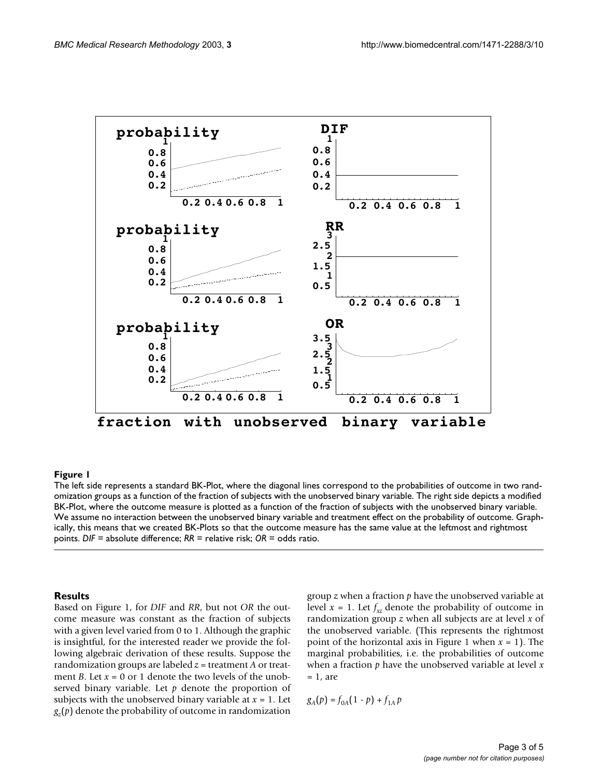<span id="page-2-0"></span>

#### **Figure 1**

The left side represents a standard BK-Plot, where the diagonal lines correspond to the probabilities of outcome in two randomization groups as a function of the fraction of subjects with the unobserved binary variable. The right side depicts a modified BK-Plot, where the outcome measure is plotted as a function of the fraction of subjects with the unobserved binary variable. We assume no interaction between the unobserved binary variable and treatment effect on the probability of outcome. Graphically, this means that we created BK-Plots so that the outcome measure has the same value at the leftmost and rightmost points. *DIF* = absolute difference; *RR* = relative risk; *OR* = odds ratio.

#### **Results**

Based on Figure [1](#page-2-0), for *DIF* and *RR*, but not *OR* the outcome measure was constant as the fraction of subjects with a given level varied from 0 to 1. Although the graphic is insightful, for the interested reader we provide the following algebraic derivation of these results. Suppose the randomization groups are labeled *z* = treatment *A* or treatment *B*. Let  $x = 0$  or 1 denote the two levels of the unobserved binary variable. Let *p* denote the proportion of subjects with the unobserved binary variable at *x* = 1. Let  $g_z(p)$  denote the probability of outcome in randomization

group *z* when a fraction *p* have the unobserved variable at level  $x = 1$ . Let  $f_{xz}$  denote the probability of outcome in randomization group *z* when all subjects are at level *x* of the unobserved variable. (This represents the rightmost point of the horizontal axis in Figure [1](#page-2-0) when *x* = 1). The marginal probabilities, i.e. the probabilities of outcome when a fraction *p* have the unobserved variable at level *x*  $= 1$ , are

$$
g_A(p) = f_{0A}(1 - p) + f_{1A}p
$$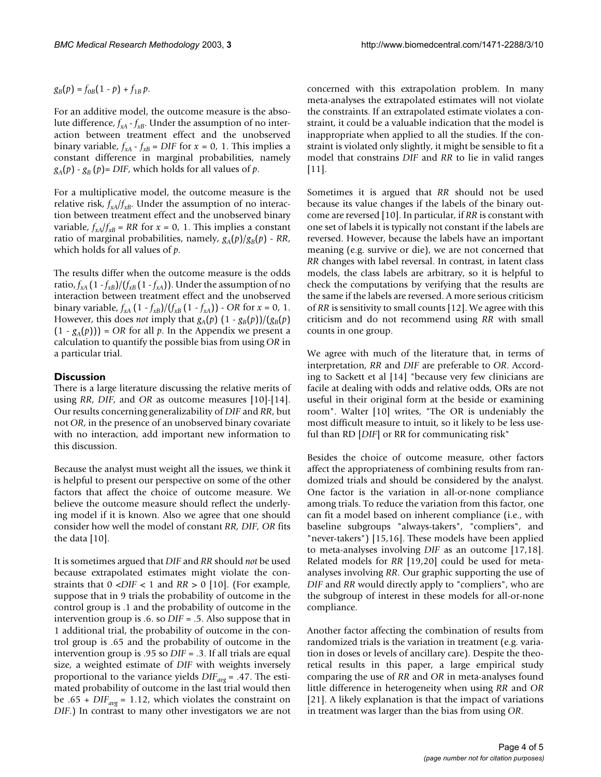$g_B(p) = f_{0B}(1 - p) + f_{1B} p$ .

For an additive model, the outcome measure is the absolute difference,  $f_{xA}$  -  $f_{xB}$ . Under the assumption of no interaction between treatment effect and the unobserved binary variable,  $f_{xA}$  -  $f_{xB}$  = *DIF* for  $x = 0$ , 1. This implies a constant difference in marginal probabilities, namely  $g_A(p)$  -  $g_B(p)$  = *DIF*, which holds for all values of *p*.

For a multiplicative model, the outcome measure is the relative risk,  $f_{xA}/f_{xB}$ . Under the assumption of no interaction between treatment effect and the unobserved binary variable,  $f_{xA}/f_{xB} = RR$  for  $x = 0$ , 1. This implies a constant ratio of marginal probabilities, namely,  $g_A(p)/g_B(p)$  - RR, which holds for all values of *p*.

The results differ when the outcome measure is the odds ratio,  $f_{xA}$  (1 -  $f_{xB}$ )/( $f_{xB}$  (1 -  $f_{xA}$ )). Under the assumption of no interaction between treatment effect and the unobserved binary variable,  $f_{xA}$   $(1 - f_{xB})/(f_{xB} (1 - f_{xA}))$  - *OR* for  $x = 0, 1$ . However, this does *not* imply that  $g_A(p)$  (1 -  $g_B(p)/(g_B(p))$  $(1 - g_A(p)) = OR$  for all p. In the Appendix we present a calculation to quantify the possible bias from using *OR* in a particular trial.

#### **Discussion**

There is a large literature discussing the relative merits of using *RR*, *DIF*, and *OR* as outcome measures [10]-[14]. Our results concerning generalizability of *DIF* and *RR*, but not *OR*, in the presence of an unobserved binary covariate with no interaction, add important new information to this discussion.

Because the analyst must weight all the issues, we think it is helpful to present our perspective on some of the other factors that affect the choice of outcome measure. We believe the outcome measure should reflect the underlying model if it is known. Also we agree that one should consider how well the model of constant *RR, DIF, OR* fits the data [10].

It is sometimes argued that *DIF* and *RR* should *not* be used because extrapolated estimates might violate the constraints that 0 <*DIF* < 1 and *RR* > 0 [10]. (For example, suppose that in 9 trials the probability of outcome in the control group is .1 and the probability of outcome in the intervention group is .6. so *DIF* = .5. Also suppose that in 1 additional trial, the probability of outcome in the control group is .65 and the probability of outcome in the intervention group is .95 so *DIF* = .3. If all trials are equal size, a weighted estimate of *DIF* with weights inversely proportional to the variance yields *DIFavg* = .47. The estimated probability of outcome in the last trial would then be .65 +  $DIF_{avg}$  = 1.12, which violates the constraint on *DIF*.) In contrast to many other investigators we are not

concerned with this extrapolation problem. In many meta-analyses the extrapolated estimates will not violate the constraints. If an extrapolated estimate violates a constraint, it could be a valuable indication that the model is inappropriate when applied to all the studies. If the constraint is violated only slightly, it might be sensible to fit a model that constrains *DIF* and *RR* to lie in valid ranges [11].

Sometimes it is argued that *RR* should not be used because its value changes if the labels of the binary outcome are reversed [10]. In particular, if *RR* is constant with one set of labels it is typically not constant if the labels are reversed. However, because the labels have an important meaning (e.g. survive or die), we are not concerned that *RR* changes with label reversal. In contrast, in latent class models, the class labels are arbitrary, so it is helpful to check the computations by verifying that the results are the same if the labels are reversed. A more serious criticism of *RR* is sensitivity to small counts [12]. We agree with this criticism and do not recommend using *RR* with small counts in one group.

We agree with much of the literature that, in terms of interpretation, *RR* and *DIF* are preferable to *OR*. According to Sackett et al [14] "because very few clinicians are facile at dealing with odds and relative odds, ORs are not useful in their original form at the beside or examining room". Walter [10] writes, "The OR is undeniably the most difficult measure to intuit, so it likely to be less useful than RD [*DIF*] or RR for communicating risk"

Besides the choice of outcome measure, other factors affect the appropriateness of combining results from randomized trials and should be considered by the analyst. One factor is the variation in all-or-none compliance among trials. To reduce the variation from this factor, one can fit a model based on inherent compliance (i.e., with baseline subgroups "always-takers", "compliers", and "never-takers") [15,16]. These models have been applied to meta-analyses involving *DIF* as an outcome [17,18]. Related models for *RR* [19,20] could be used for metaanalyses involving *RR*. Our graphic supporting the use of *DIF* and *RR* would directly apply to "compliers", who are the subgroup of interest in these models for all-or-none compliance.

Another factor affecting the combination of results from randomized trials is the variation in treatment (e.g. variation in doses or levels of ancillary care). Despite the theoretical results in this paper, a large empirical study comparing the use of *RR* and *OR* in meta-analyses found little difference in heterogeneity when using *RR* and *OR* [21]. A likely explanation is that the impact of variations in treatment was larger than the bias from using *OR*.